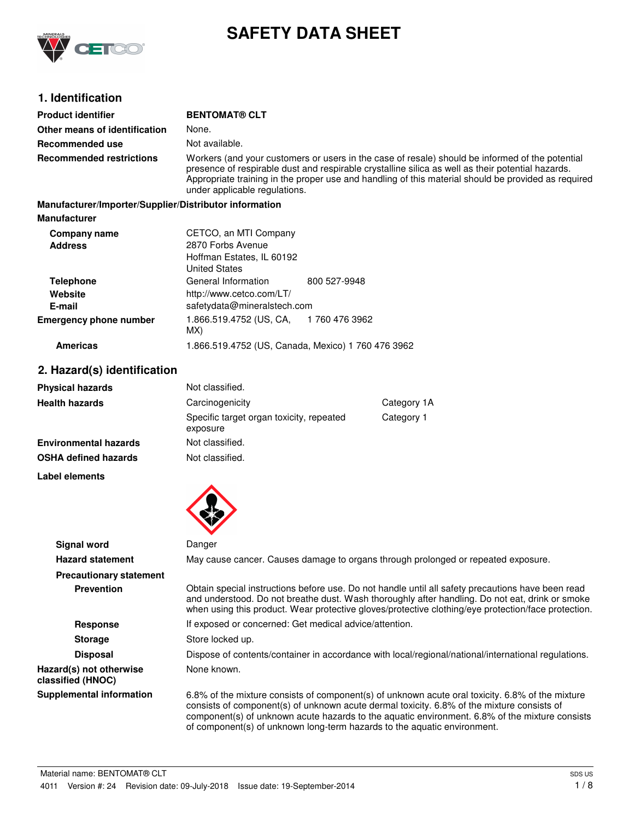

# **SAFETY DATA SHEET**

# **1. Identification**

| <b>Product identifier</b>                              | <b>BENTOMAT® CLT</b>                                                                                                                                                                                                                                                                                                                         |               |
|--------------------------------------------------------|----------------------------------------------------------------------------------------------------------------------------------------------------------------------------------------------------------------------------------------------------------------------------------------------------------------------------------------------|---------------|
| Other means of identification                          | None.                                                                                                                                                                                                                                                                                                                                        |               |
| Recommended use                                        | Not available.                                                                                                                                                                                                                                                                                                                               |               |
| <b>Recommended restrictions</b>                        | Workers (and your customers or users in the case of resale) should be informed of the potential<br>presence of respirable dust and respirable crystalline silica as well as their potential hazards.<br>Appropriate training in the proper use and handling of this material should be provided as required<br>under applicable regulations. |               |
| Manufacturer/Importer/Supplier/Distributor information |                                                                                                                                                                                                                                                                                                                                              |               |
| <b>Manufacturer</b>                                    |                                                                                                                                                                                                                                                                                                                                              |               |
| Company name                                           | CETCO, an MTI Company                                                                                                                                                                                                                                                                                                                        |               |
| <b>Address</b>                                         | 2870 Forbs Avenue                                                                                                                                                                                                                                                                                                                            |               |
|                                                        | Hoffman Estates, IL 60192<br><b>United States</b>                                                                                                                                                                                                                                                                                            |               |
| <b>Telephone</b>                                       | General Information                                                                                                                                                                                                                                                                                                                          | 800 527-9948  |
| Website                                                | http://www.cetco.com/LT/                                                                                                                                                                                                                                                                                                                     |               |
| E-mail                                                 | safetydata@mineralstech.com                                                                                                                                                                                                                                                                                                                  |               |
| <b>Emergency phone number</b>                          | 1.866.519.4752 (US, CA,                                                                                                                                                                                                                                                                                                                      | 1760 476 3962 |

### **Americas** 1.866.519.4752 (US, Canada, Mexico) 1 760 476 3962

# **2. Hazard(s) identification**

| <b>Physical hazards</b>      | Not classified.                                      |            |
|------------------------------|------------------------------------------------------|------------|
| <b>Health hazards</b>        | Carcinogenicity<br>Category 1A                       |            |
|                              | Specific target organ toxicity, repeated<br>exposure | Category 1 |
| <b>Environmental hazards</b> | Not classified.                                      |            |
| <b>OSHA defined hazards</b>  | Not classified.                                      |            |

**Label elements**



MX)

|                                              | $\bullet$                                                                                                                                                                                                                                                                                                                                                                    |
|----------------------------------------------|------------------------------------------------------------------------------------------------------------------------------------------------------------------------------------------------------------------------------------------------------------------------------------------------------------------------------------------------------------------------------|
| Signal word                                  | Danger                                                                                                                                                                                                                                                                                                                                                                       |
| <b>Hazard statement</b>                      | May cause cancer. Causes damage to organs through prolonged or repeated exposure.                                                                                                                                                                                                                                                                                            |
| <b>Precautionary statement</b>               |                                                                                                                                                                                                                                                                                                                                                                              |
| <b>Prevention</b>                            | Obtain special instructions before use. Do not handle until all safety precautions have been read<br>and understood. Do not breathe dust. Wash thoroughly after handling. Do not eat, drink or smoke<br>when using this product. Wear protective gloves/protective clothing/eye protection/face protection.                                                                  |
| <b>Response</b>                              | If exposed or concerned: Get medical advice/attention.                                                                                                                                                                                                                                                                                                                       |
| <b>Storage</b>                               | Store locked up.                                                                                                                                                                                                                                                                                                                                                             |
| <b>Disposal</b>                              | Dispose of contents/container in accordance with local/regional/national/international regulations.                                                                                                                                                                                                                                                                          |
| Hazard(s) not otherwise<br>classified (HNOC) | None known.                                                                                                                                                                                                                                                                                                                                                                  |
| <b>Supplemental information</b>              | 6.8% of the mixture consists of component(s) of unknown acute oral toxicity. 6.8% of the mixture<br>consists of component(s) of unknown acute dermal toxicity. 6.8% of the mixture consists of<br>component(s) of unknown acute hazards to the aquatic environment. 6.8% of the mixture consists<br>of component(s) of unknown long-term hazards to the aquatic environment. |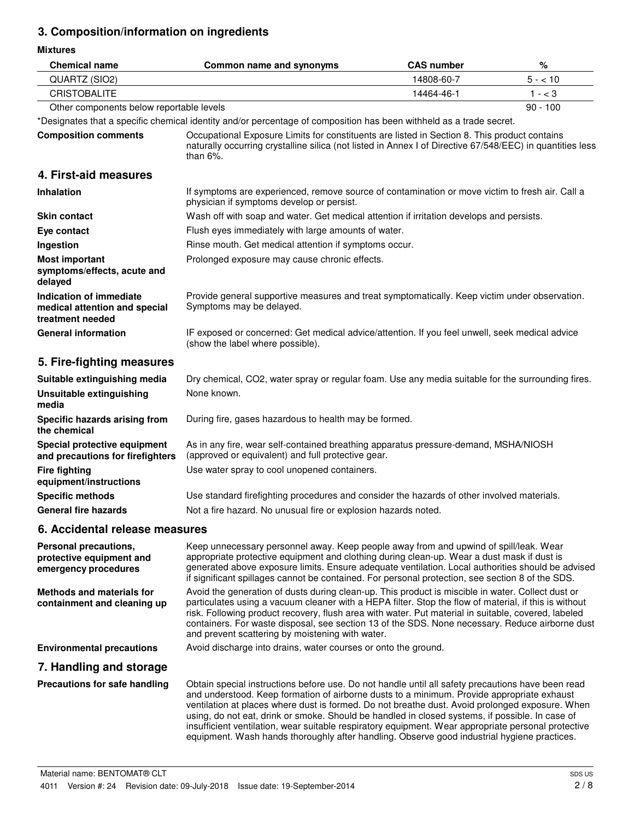# **3. Composition/information on ingredients**

**Mixtures**

| <b>Chemical name</b>                                                         | Common name and synonyms                                                                                                                                                                                                                                                                                                                                                                                                                                                                                                                                                                                    | <b>CAS number</b> | %          |
|------------------------------------------------------------------------------|-------------------------------------------------------------------------------------------------------------------------------------------------------------------------------------------------------------------------------------------------------------------------------------------------------------------------------------------------------------------------------------------------------------------------------------------------------------------------------------------------------------------------------------------------------------------------------------------------------------|-------------------|------------|
| QUARTZ (SIO2)                                                                |                                                                                                                                                                                                                                                                                                                                                                                                                                                                                                                                                                                                             | 14808-60-7        | $5 - 10$   |
| <b>CRISTOBALITE</b>                                                          |                                                                                                                                                                                                                                                                                                                                                                                                                                                                                                                                                                                                             | 14464-46-1        | $1 - < 3$  |
| Other components below reportable levels                                     |                                                                                                                                                                                                                                                                                                                                                                                                                                                                                                                                                                                                             |                   | $90 - 100$ |
|                                                                              | *Designates that a specific chemical identity and/or percentage of composition has been withheld as a trade secret.                                                                                                                                                                                                                                                                                                                                                                                                                                                                                         |                   |            |
| <b>Composition comments</b>                                                  | Occupational Exposure Limits for constituents are listed in Section 8. This product contains<br>naturally occurring crystalline silica (not listed in Annex I of Directive 67/548/EEC) in quantities less<br>than $6\%$ .                                                                                                                                                                                                                                                                                                                                                                                   |                   |            |
| 4. First-aid measures                                                        |                                                                                                                                                                                                                                                                                                                                                                                                                                                                                                                                                                                                             |                   |            |
| Inhalation                                                                   | If symptoms are experienced, remove source of contamination or move victim to fresh air. Call a<br>physician if symptoms develop or persist.                                                                                                                                                                                                                                                                                                                                                                                                                                                                |                   |            |
| <b>Skin contact</b>                                                          | Wash off with soap and water. Get medical attention if irritation develops and persists.                                                                                                                                                                                                                                                                                                                                                                                                                                                                                                                    |                   |            |
| Eye contact                                                                  | Flush eyes immediately with large amounts of water.                                                                                                                                                                                                                                                                                                                                                                                                                                                                                                                                                         |                   |            |
| Ingestion                                                                    | Rinse mouth. Get medical attention if symptoms occur.                                                                                                                                                                                                                                                                                                                                                                                                                                                                                                                                                       |                   |            |
| <b>Most important</b><br>symptoms/effects, acute and<br>delayed              | Prolonged exposure may cause chronic effects.                                                                                                                                                                                                                                                                                                                                                                                                                                                                                                                                                               |                   |            |
| Indication of immediate<br>medical attention and special<br>treatment needed | Provide general supportive measures and treat symptomatically. Keep victim under observation.<br>Symptoms may be delayed.                                                                                                                                                                                                                                                                                                                                                                                                                                                                                   |                   |            |
| <b>General information</b>                                                   | IF exposed or concerned: Get medical advice/attention. If you feel unwell, seek medical advice<br>(show the label where possible).                                                                                                                                                                                                                                                                                                                                                                                                                                                                          |                   |            |
| 5. Fire-fighting measures                                                    |                                                                                                                                                                                                                                                                                                                                                                                                                                                                                                                                                                                                             |                   |            |
| Suitable extinguishing media                                                 | Dry chemical, CO2, water spray or regular foam. Use any media suitable for the surrounding fires.                                                                                                                                                                                                                                                                                                                                                                                                                                                                                                           |                   |            |
| <b>Unsuitable extinguishing</b><br>media                                     | None known.                                                                                                                                                                                                                                                                                                                                                                                                                                                                                                                                                                                                 |                   |            |
| Specific hazards arising from<br>the chemical                                | During fire, gases hazardous to health may be formed.                                                                                                                                                                                                                                                                                                                                                                                                                                                                                                                                                       |                   |            |
| Special protective equipment<br>and precautions for firefighters             | As in any fire, wear self-contained breathing apparatus pressure-demand, MSHA/NIOSH<br>(approved or equivalent) and full protective gear.                                                                                                                                                                                                                                                                                                                                                                                                                                                                   |                   |            |
| <b>Fire fighting</b><br>equipment/instructions                               | Use water spray to cool unopened containers.                                                                                                                                                                                                                                                                                                                                                                                                                                                                                                                                                                |                   |            |
| <b>Specific methods</b>                                                      | Use standard firefighting procedures and consider the hazards of other involved materials.                                                                                                                                                                                                                                                                                                                                                                                                                                                                                                                  |                   |            |
| <b>General fire hazards</b>                                                  | Not a fire hazard. No unusual fire or explosion hazards noted.                                                                                                                                                                                                                                                                                                                                                                                                                                                                                                                                              |                   |            |
| 6. Accidental release measures                                               |                                                                                                                                                                                                                                                                                                                                                                                                                                                                                                                                                                                                             |                   |            |
| Personal precautions,<br>protective equipment and<br>emergency procedures    | Keep unnecessary personnel away. Keep people away from and upwind of spill/leak. Wear<br>appropriate protective equipment and clothing during clean-up. Wear a dust mask if dust is<br>generated above exposure limits. Ensure adequate ventilation. Local authorities should be advised<br>if significant spillages cannot be contained. For personal protection, see section 8 of the SDS.                                                                                                                                                                                                                |                   |            |
| <b>Methods and materials for</b><br>containment and cleaning up              | Avoid the generation of dusts during clean-up. This product is miscible in water. Collect dust or<br>particulates using a vacuum cleaner with a HEPA filter. Stop the flow of material, if this is without<br>risk. Following product recovery, flush area with water. Put material in suitable, covered, labeled<br>containers. For waste disposal, see section 13 of the SDS. None necessary. Reduce airborne dust<br>and prevent scattering by moistening with water.                                                                                                                                    |                   |            |
| <b>Environmental precautions</b>                                             | Avoid discharge into drains, water courses or onto the ground.                                                                                                                                                                                                                                                                                                                                                                                                                                                                                                                                              |                   |            |
| 7. Handling and storage                                                      |                                                                                                                                                                                                                                                                                                                                                                                                                                                                                                                                                                                                             |                   |            |
| Precautions for safe handling                                                | Obtain special instructions before use. Do not handle until all safety precautions have been read<br>and understood. Keep formation of airborne dusts to a minimum. Provide appropriate exhaust<br>ventilation at places where dust is formed. Do not breathe dust. Avoid prolonged exposure. When<br>using, do not eat, drink or smoke. Should be handled in closed systems, if possible. In case of<br>insufficient ventilation, wear suitable respiratory equipment. Wear appropriate personal protective<br>equipment. Wash hands thoroughly after handling. Observe good industrial hygiene practices. |                   |            |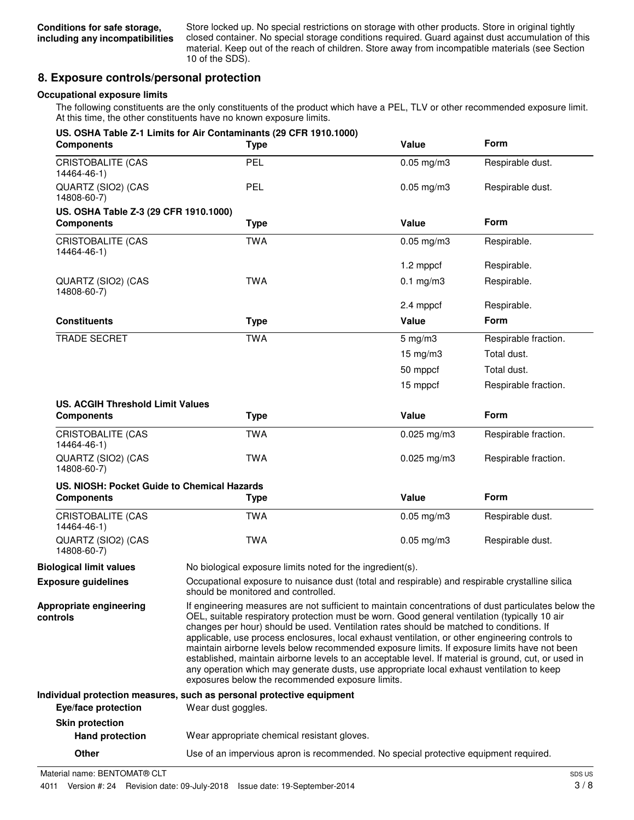Store locked up. No special restrictions on storage with other products. Store in original tightly closed container. No special storage conditions required. Guard against dust accumulation of this material. Keep out of the reach of children. Store away from incompatible materials (see Section 10 of the SDS).

# **8. Exposure controls/personal protection**

#### **Occupational exposure limits**

The following constituents are the only constituents of the product which have a PEL, TLV or other recommended exposure limit. At this time, the other constituents have no known exposure limits.

| <b>Components</b>                           | US. OSHA Table Z-1 Limits for Air Contaminants (29 CFR 1910.1000)<br><b>Type</b> | Value                                                                                                                                                                                                                                                                                                                                                                                                                                                                                                                                                                                                                                                                                                                                                        | <b>Form</b>          |
|---------------------------------------------|----------------------------------------------------------------------------------|--------------------------------------------------------------------------------------------------------------------------------------------------------------------------------------------------------------------------------------------------------------------------------------------------------------------------------------------------------------------------------------------------------------------------------------------------------------------------------------------------------------------------------------------------------------------------------------------------------------------------------------------------------------------------------------------------------------------------------------------------------------|----------------------|
| <b>CRISTOBALITE (CAS</b><br>14464-46-1)     | PEL                                                                              | $0.05$ mg/m $3$                                                                                                                                                                                                                                                                                                                                                                                                                                                                                                                                                                                                                                                                                                                                              | Respirable dust.     |
| QUARTZ (SIO2) (CAS<br>14808-60-7)           | <b>PEL</b>                                                                       | $0.05$ mg/m $3$                                                                                                                                                                                                                                                                                                                                                                                                                                                                                                                                                                                                                                                                                                                                              | Respirable dust.     |
| US. OSHA Table Z-3 (29 CFR 1910.1000)       |                                                                                  |                                                                                                                                                                                                                                                                                                                                                                                                                                                                                                                                                                                                                                                                                                                                                              |                      |
| <b>Components</b>                           | <b>Type</b>                                                                      | Value                                                                                                                                                                                                                                                                                                                                                                                                                                                                                                                                                                                                                                                                                                                                                        | <b>Form</b>          |
| CRISTOBALITE (CAS<br>14464-46-1)            | <b>TWA</b>                                                                       | $0.05$ mg/m $3$                                                                                                                                                                                                                                                                                                                                                                                                                                                                                                                                                                                                                                                                                                                                              | Respirable.          |
|                                             |                                                                                  | 1.2 mppcf                                                                                                                                                                                                                                                                                                                                                                                                                                                                                                                                                                                                                                                                                                                                                    | Respirable.          |
| QUARTZ (SIO2) (CAS<br>14808-60-7)           | <b>TWA</b>                                                                       | $0.1$ mg/m $3$                                                                                                                                                                                                                                                                                                                                                                                                                                                                                                                                                                                                                                                                                                                                               | Respirable.          |
|                                             |                                                                                  | 2.4 mppcf                                                                                                                                                                                                                                                                                                                                                                                                                                                                                                                                                                                                                                                                                                                                                    | Respirable.          |
| <b>Constituents</b>                         | <b>Type</b>                                                                      | Value                                                                                                                                                                                                                                                                                                                                                                                                                                                                                                                                                                                                                                                                                                                                                        | <b>Form</b>          |
| <b>TRADE SECRET</b>                         | <b>TWA</b>                                                                       | $5$ mg/m $3$                                                                                                                                                                                                                                                                                                                                                                                                                                                                                                                                                                                                                                                                                                                                                 | Respirable fraction. |
|                                             |                                                                                  | $15 \text{ mg/m}$ 3                                                                                                                                                                                                                                                                                                                                                                                                                                                                                                                                                                                                                                                                                                                                          | Total dust.          |
|                                             |                                                                                  | 50 mppcf                                                                                                                                                                                                                                                                                                                                                                                                                                                                                                                                                                                                                                                                                                                                                     | Total dust.          |
|                                             |                                                                                  | 15 mppcf                                                                                                                                                                                                                                                                                                                                                                                                                                                                                                                                                                                                                                                                                                                                                     | Respirable fraction. |
| <b>US. ACGIH Threshold Limit Values</b>     |                                                                                  |                                                                                                                                                                                                                                                                                                                                                                                                                                                                                                                                                                                                                                                                                                                                                              |                      |
| <b>Components</b>                           | <b>Type</b>                                                                      | Value                                                                                                                                                                                                                                                                                                                                                                                                                                                                                                                                                                                                                                                                                                                                                        | Form                 |
| <b>CRISTOBALITE (CAS</b><br>14464-46-1)     | <b>TWA</b>                                                                       | $0.025$ mg/m3                                                                                                                                                                                                                                                                                                                                                                                                                                                                                                                                                                                                                                                                                                                                                | Respirable fraction. |
| QUARTZ (SIO2) (CAS<br>14808-60-7)           | <b>TWA</b>                                                                       | $0.025$ mg/m $3$                                                                                                                                                                                                                                                                                                                                                                                                                                                                                                                                                                                                                                                                                                                                             | Respirable fraction. |
| US. NIOSH: Pocket Guide to Chemical Hazards |                                                                                  |                                                                                                                                                                                                                                                                                                                                                                                                                                                                                                                                                                                                                                                                                                                                                              |                      |
| <b>Components</b>                           | <b>Type</b>                                                                      | Value                                                                                                                                                                                                                                                                                                                                                                                                                                                                                                                                                                                                                                                                                                                                                        | Form                 |
| <b>CRISTOBALITE (CAS</b><br>14464-46-1)     | <b>TWA</b>                                                                       | $0.05$ mg/m $3$                                                                                                                                                                                                                                                                                                                                                                                                                                                                                                                                                                                                                                                                                                                                              | Respirable dust.     |
| QUARTZ (SIO2) (CAS<br>14808-60-7)           | <b>TWA</b>                                                                       | $0.05$ mg/m $3$                                                                                                                                                                                                                                                                                                                                                                                                                                                                                                                                                                                                                                                                                                                                              | Respirable dust.     |
| <b>Biological limit values</b>              | No biological exposure limits noted for the ingredient(s).                       |                                                                                                                                                                                                                                                                                                                                                                                                                                                                                                                                                                                                                                                                                                                                                              |                      |
| <b>Exposure guidelines</b>                  | should be monitored and controlled.                                              | Occupational exposure to nuisance dust (total and respirable) and respirable crystalline silica                                                                                                                                                                                                                                                                                                                                                                                                                                                                                                                                                                                                                                                              |                      |
| Appropriate engineering<br>controls         |                                                                                  | If engineering measures are not sufficient to maintain concentrations of dust particulates below the<br>OEL, suitable respiratory protection must be worn. Good general ventilation (typically 10 air<br>changes per hour) should be used. Ventilation rates should be matched to conditions. If<br>applicable, use process enclosures, local exhaust ventilation, or other engineering controls to<br>maintain airborne levels below recommended exposure limits. If exposure limits have not been<br>established, maintain airborne levels to an acceptable level. If material is ground, cut, or used in<br>any operation which may generate dusts, use appropriate local exhaust ventilation to keep<br>exposures below the recommended exposure limits. |                      |
|                                             | Individual protection measures, such as personal protective equipment            |                                                                                                                                                                                                                                                                                                                                                                                                                                                                                                                                                                                                                                                                                                                                                              |                      |
| Eye/face protection                         | Wear dust goggles.                                                               |                                                                                                                                                                                                                                                                                                                                                                                                                                                                                                                                                                                                                                                                                                                                                              |                      |
| <b>Skin protection</b>                      |                                                                                  |                                                                                                                                                                                                                                                                                                                                                                                                                                                                                                                                                                                                                                                                                                                                                              |                      |
| <b>Hand protection</b>                      | Wear appropriate chemical resistant gloves.                                      |                                                                                                                                                                                                                                                                                                                                                                                                                                                                                                                                                                                                                                                                                                                                                              |                      |

**Other** Use of an impervious apron is recommended. No special protective equipment required.

Material name: BENTOMAT® CLT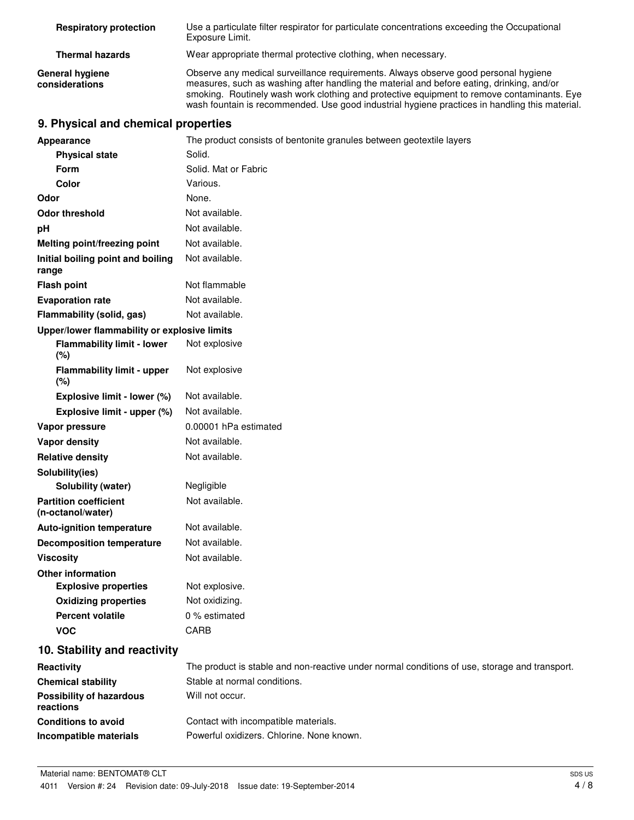| <b>Respiratory protection</b>     | Use a particulate filter respirator for particulate concentrations exceeding the Occupational<br>Exposure Limit.                                                                                                                                                                                                                                                                 |
|-----------------------------------|----------------------------------------------------------------------------------------------------------------------------------------------------------------------------------------------------------------------------------------------------------------------------------------------------------------------------------------------------------------------------------|
| <b>Thermal hazards</b>            | Wear appropriate thermal protective clothing, when necessary.                                                                                                                                                                                                                                                                                                                    |
| General hygiene<br>considerations | Observe any medical surveillance requirements. Always observe good personal hygiene<br>measures, such as washing after handling the material and before eating, drinking, and/or<br>smoking. Routinely wash work clothing and protective equipment to remove contaminants. Eye<br>wash fountain is recommended. Use good industrial hygiene practices in handling this material. |

# **9. Physical and chemical properties**

|                  | Appearance                                        | The product consists of bentonite granules between geotextile layers                          |  |  |
|------------------|---------------------------------------------------|-----------------------------------------------------------------------------------------------|--|--|
|                  | <b>Physical state</b>                             | Solid.                                                                                        |  |  |
|                  | <b>Form</b>                                       | Solid. Mat or Fabric                                                                          |  |  |
|                  | <b>Color</b>                                      | Various.                                                                                      |  |  |
| Odor             |                                                   | None.                                                                                         |  |  |
|                  | <b>Odor threshold</b>                             | Not available.                                                                                |  |  |
| рH               |                                                   | Not available.                                                                                |  |  |
|                  | Melting point/freezing point                      | Not available.                                                                                |  |  |
| range            | Initial boiling point and boiling                 | Not available.                                                                                |  |  |
|                  | <b>Flash point</b>                                | Not flammable                                                                                 |  |  |
|                  | <b>Evaporation rate</b>                           | Not available.                                                                                |  |  |
|                  | Flammability (solid, gas)                         | Not available.                                                                                |  |  |
|                  | Upper/lower flammability or explosive limits      |                                                                                               |  |  |
|                  | <b>Flammability limit - lower</b><br>(%)          | Not explosive                                                                                 |  |  |
|                  | <b>Flammability limit - upper</b><br>(%)          | Not explosive                                                                                 |  |  |
|                  | Explosive limit - lower (%)                       | Not available.                                                                                |  |  |
|                  | Explosive limit - upper (%)                       | Not available.                                                                                |  |  |
|                  | Vapor pressure                                    | 0.00001 hPa estimated                                                                         |  |  |
|                  | <b>Vapor density</b>                              | Not available.                                                                                |  |  |
|                  | <b>Relative density</b>                           | Not available.                                                                                |  |  |
|                  | Solubility(ies)                                   |                                                                                               |  |  |
|                  | <b>Solubility (water)</b>                         | Negligible                                                                                    |  |  |
|                  | <b>Partition coefficient</b><br>(n-octanol/water) | Not available.                                                                                |  |  |
|                  | <b>Auto-ignition temperature</b>                  | Not available.                                                                                |  |  |
|                  | <b>Decomposition temperature</b>                  | Not available.                                                                                |  |  |
| <b>Viscosity</b> |                                                   | Not available.                                                                                |  |  |
|                  | <b>Other information</b>                          |                                                                                               |  |  |
|                  | <b>Explosive properties</b>                       | Not explosive.                                                                                |  |  |
|                  | <b>Oxidizing properties</b>                       | Not oxidizing.                                                                                |  |  |
|                  | <b>Percent volatile</b>                           | 0 % estimated                                                                                 |  |  |
|                  | <b>VOC</b>                                        | <b>CARB</b>                                                                                   |  |  |
|                  | 10. Stability and reactivity                      |                                                                                               |  |  |
| Reactivity       |                                                   | The product is stable and non-reactive under normal conditions of use, storage and transport. |  |  |
|                  | <b>Chemical stability</b>                         | Stable at normal conditions.                                                                  |  |  |
| reactions        | <b>Possibility of hazardous</b>                   | Will not occur.                                                                               |  |  |
|                  | <b>Conditions to avoid</b>                        | Contact with incompatible materials.                                                          |  |  |
|                  | Incompatible materials                            | Powerful oxidizers. Chlorine. None known.                                                     |  |  |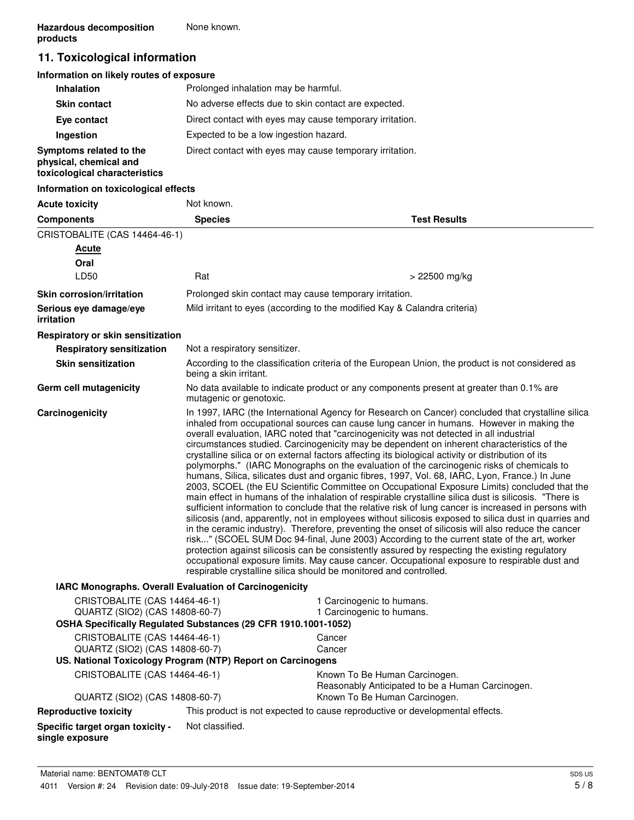# **11. Toxicological information**

# **Information on likely routes of exposure**

| <b>Inhalation</b>                                                                  | Prolonged inhalation may be harmful.                     |
|------------------------------------------------------------------------------------|----------------------------------------------------------|
| <b>Skin contact</b>                                                                | No adverse effects due to skin contact are expected.     |
| Eye contact                                                                        | Direct contact with eyes may cause temporary irritation. |
| Ingestion                                                                          | Expected to be a low ingestion hazard.                   |
| Symptoms related to the<br>physical, chemical and<br>toxicological characteristics | Direct contact with eyes may cause temporary irritation. |

#### **Information on toxicological effects**

| <b>Acute toxicity</b>                                           | Not known.                                                                                                                                                                                                                                                                                                                                                                                                                                                                                                                                                                                                                                                                                                                                                                                                                                                                                                                                                                                                                                                                                                                                                                                                                                                                                                                                                                                                                                                                                                                                                                                         |                                                                                                                     |  |
|-----------------------------------------------------------------|----------------------------------------------------------------------------------------------------------------------------------------------------------------------------------------------------------------------------------------------------------------------------------------------------------------------------------------------------------------------------------------------------------------------------------------------------------------------------------------------------------------------------------------------------------------------------------------------------------------------------------------------------------------------------------------------------------------------------------------------------------------------------------------------------------------------------------------------------------------------------------------------------------------------------------------------------------------------------------------------------------------------------------------------------------------------------------------------------------------------------------------------------------------------------------------------------------------------------------------------------------------------------------------------------------------------------------------------------------------------------------------------------------------------------------------------------------------------------------------------------------------------------------------------------------------------------------------------------|---------------------------------------------------------------------------------------------------------------------|--|
| <b>Components</b>                                               | <b>Species</b>                                                                                                                                                                                                                                                                                                                                                                                                                                                                                                                                                                                                                                                                                                                                                                                                                                                                                                                                                                                                                                                                                                                                                                                                                                                                                                                                                                                                                                                                                                                                                                                     | <b>Test Results</b>                                                                                                 |  |
| CRISTOBALITE (CAS 14464-46-1)                                   |                                                                                                                                                                                                                                                                                                                                                                                                                                                                                                                                                                                                                                                                                                                                                                                                                                                                                                                                                                                                                                                                                                                                                                                                                                                                                                                                                                                                                                                                                                                                                                                                    |                                                                                                                     |  |
| <b>Acute</b>                                                    |                                                                                                                                                                                                                                                                                                                                                                                                                                                                                                                                                                                                                                                                                                                                                                                                                                                                                                                                                                                                                                                                                                                                                                                                                                                                                                                                                                                                                                                                                                                                                                                                    |                                                                                                                     |  |
| Oral                                                            |                                                                                                                                                                                                                                                                                                                                                                                                                                                                                                                                                                                                                                                                                                                                                                                                                                                                                                                                                                                                                                                                                                                                                                                                                                                                                                                                                                                                                                                                                                                                                                                                    |                                                                                                                     |  |
| LD50                                                            | Rat                                                                                                                                                                                                                                                                                                                                                                                                                                                                                                                                                                                                                                                                                                                                                                                                                                                                                                                                                                                                                                                                                                                                                                                                                                                                                                                                                                                                                                                                                                                                                                                                | > 22500 mg/kg                                                                                                       |  |
| <b>Skin corrosion/irritation</b>                                |                                                                                                                                                                                                                                                                                                                                                                                                                                                                                                                                                                                                                                                                                                                                                                                                                                                                                                                                                                                                                                                                                                                                                                                                                                                                                                                                                                                                                                                                                                                                                                                                    | Prolonged skin contact may cause temporary irritation.                                                              |  |
| Serious eye damage/eye<br>irritation                            |                                                                                                                                                                                                                                                                                                                                                                                                                                                                                                                                                                                                                                                                                                                                                                                                                                                                                                                                                                                                                                                                                                                                                                                                                                                                                                                                                                                                                                                                                                                                                                                                    | Mild irritant to eyes (according to the modified Kay & Calandra criteria)                                           |  |
| Respiratory or skin sensitization                               |                                                                                                                                                                                                                                                                                                                                                                                                                                                                                                                                                                                                                                                                                                                                                                                                                                                                                                                                                                                                                                                                                                                                                                                                                                                                                                                                                                                                                                                                                                                                                                                                    |                                                                                                                     |  |
| <b>Respiratory sensitization</b>                                | Not a respiratory sensitizer.                                                                                                                                                                                                                                                                                                                                                                                                                                                                                                                                                                                                                                                                                                                                                                                                                                                                                                                                                                                                                                                                                                                                                                                                                                                                                                                                                                                                                                                                                                                                                                      |                                                                                                                     |  |
| <b>Skin sensitization</b>                                       | being a skin irritant.                                                                                                                                                                                                                                                                                                                                                                                                                                                                                                                                                                                                                                                                                                                                                                                                                                                                                                                                                                                                                                                                                                                                                                                                                                                                                                                                                                                                                                                                                                                                                                             | According to the classification criteria of the European Union, the product is not considered as                    |  |
| Germ cell mutagenicity                                          |                                                                                                                                                                                                                                                                                                                                                                                                                                                                                                                                                                                                                                                                                                                                                                                                                                                                                                                                                                                                                                                                                                                                                                                                                                                                                                                                                                                                                                                                                                                                                                                                    | No data available to indicate product or any components present at greater than 0.1% are<br>mutagenic or genotoxic. |  |
| Carcinogenicity                                                 | In 1997, IARC (the International Agency for Research on Cancer) concluded that crystalline silica<br>inhaled from occupational sources can cause lung cancer in humans. However in making the<br>overall evaluation, IARC noted that "carcinogenicity was not detected in all industrial<br>circumstances studied. Carcinogenicity may be dependent on inherent characteristics of the<br>crystalline silica or on external factors affecting its biological activity or distribution of its<br>polymorphs." (IARC Monographs on the evaluation of the carcinogenic risks of chemicals to<br>humans, Silica, silicates dust and organic fibres, 1997, Vol. 68, IARC, Lyon, France.) In June<br>2003, SCOEL (the EU Scientific Committee on Occupational Exposure Limits) concluded that the<br>main effect in humans of the inhalation of respirable crystalline silica dust is silicosis. "There is<br>sufficient information to conclude that the relative risk of lung cancer is increased in persons with<br>silicosis (and, apparently, not in employees without silicosis exposed to silica dust in quarries and<br>in the ceramic industry). Therefore, preventing the onset of silicosis will also reduce the cancer<br>risk" (SCOEL SUM Doc 94-final, June 2003) According to the current state of the art, worker<br>protection against silicosis can be consistently assured by respecting the existing regulatory<br>occupational exposure limits. May cause cancer. Occupational exposure to respirable dust and<br>respirable crystalline silica should be monitored and controlled. |                                                                                                                     |  |
| IARC Monographs. Overall Evaluation of Carcinogenicity          |                                                                                                                                                                                                                                                                                                                                                                                                                                                                                                                                                                                                                                                                                                                                                                                                                                                                                                                                                                                                                                                                                                                                                                                                                                                                                                                                                                                                                                                                                                                                                                                                    |                                                                                                                     |  |
| CRISTOBALITE (CAS 14464-46-1)<br>QUARTZ (SIO2) (CAS 14808-60-7) |                                                                                                                                                                                                                                                                                                                                                                                                                                                                                                                                                                                                                                                                                                                                                                                                                                                                                                                                                                                                                                                                                                                                                                                                                                                                                                                                                                                                                                                                                                                                                                                                    | 1 Carcinogenic to humans.<br>1 Carcinogenic to humans.                                                              |  |
| OSHA Specifically Regulated Substances (29 CFR 1910.1001-1052)  |                                                                                                                                                                                                                                                                                                                                                                                                                                                                                                                                                                                                                                                                                                                                                                                                                                                                                                                                                                                                                                                                                                                                                                                                                                                                                                                                                                                                                                                                                                                                                                                                    |                                                                                                                     |  |
| CRISTOBALITE (CAS 14464-46-1)<br>QUARTZ (SIO2) (CAS 14808-60-7) |                                                                                                                                                                                                                                                                                                                                                                                                                                                                                                                                                                                                                                                                                                                                                                                                                                                                                                                                                                                                                                                                                                                                                                                                                                                                                                                                                                                                                                                                                                                                                                                                    | Cancer<br>Cancer                                                                                                    |  |
| US. National Toxicology Program (NTP) Report on Carcinogens     |                                                                                                                                                                                                                                                                                                                                                                                                                                                                                                                                                                                                                                                                                                                                                                                                                                                                                                                                                                                                                                                                                                                                                                                                                                                                                                                                                                                                                                                                                                                                                                                                    |                                                                                                                     |  |
| CRISTOBALITE (CAS 14464-46-1)                                   |                                                                                                                                                                                                                                                                                                                                                                                                                                                                                                                                                                                                                                                                                                                                                                                                                                                                                                                                                                                                                                                                                                                                                                                                                                                                                                                                                                                                                                                                                                                                                                                                    | Known To Be Human Carcinogen.<br>Reasonably Anticipated to be a Human Carcinogen.                                   |  |
| QUARTZ (SIO2) (CAS 14808-60-7)                                  |                                                                                                                                                                                                                                                                                                                                                                                                                                                                                                                                                                                                                                                                                                                                                                                                                                                                                                                                                                                                                                                                                                                                                                                                                                                                                                                                                                                                                                                                                                                                                                                                    | Known To Be Human Carcinogen.                                                                                       |  |
| <b>Reproductive toxicity</b>                                    |                                                                                                                                                                                                                                                                                                                                                                                                                                                                                                                                                                                                                                                                                                                                                                                                                                                                                                                                                                                                                                                                                                                                                                                                                                                                                                                                                                                                                                                                                                                                                                                                    | This product is not expected to cause reproductive or developmental effects.                                        |  |
| Specific target organ toxicity -<br>single exposure             | Not classified.                                                                                                                                                                                                                                                                                                                                                                                                                                                                                                                                                                                                                                                                                                                                                                                                                                                                                                                                                                                                                                                                                                                                                                                                                                                                                                                                                                                                                                                                                                                                                                                    |                                                                                                                     |  |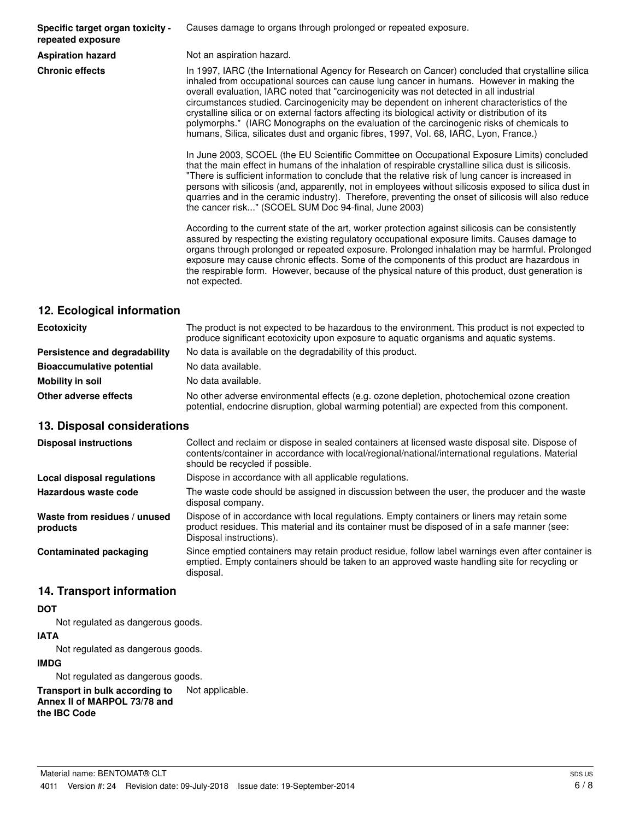**Specific target organ toxicity repeated exposure**

Causes damage to organs through prolonged or repeated exposure.

**Aspiration hazard** Not an aspiration hazard.

**Chronic effects** In 1997, IARC (the International Agency for Research on Cancer) concluded that crystalline silica inhaled from occupational sources can cause lung cancer in humans. However in making the overall evaluation, IARC noted that "carcinogenicity was not detected in all industrial circumstances studied. Carcinogenicity may be dependent on inherent characteristics of the crystalline silica or on external factors affecting its biological activity or distribution of its polymorphs." (IARC Monographs on the evaluation of the carcinogenic risks of chemicals to humans, Silica, silicates dust and organic fibres, 1997, Vol. 68, IARC, Lyon, France.)

> In June 2003, SCOEL (the EU Scientific Committee on Occupational Exposure Limits) concluded that the main effect in humans of the inhalation of respirable crystalline silica dust is silicosis. "There is sufficient information to conclude that the relative risk of lung cancer is increased in persons with silicosis (and, apparently, not in employees without silicosis exposed to silica dust in quarries and in the ceramic industry). Therefore, preventing the onset of silicosis will also reduce the cancer risk..." (SCOEL SUM Doc 94-final, June 2003)

> According to the current state of the art, worker protection against silicosis can be consistently assured by respecting the existing regulatory occupational exposure limits. Causes damage to organs through prolonged or repeated exposure. Prolonged inhalation may be harmful. Prolonged exposure may cause chronic effects. Some of the components of this product are hazardous in the respirable form. However, because of the physical nature of this product, dust generation is not expected.

# **12. Ecological information**

| <b>Ecotoxicity</b>               | The product is not expected to be hazardous to the environment. This product is not expected to<br>produce significant ecotoxicity upon exposure to aquatic organisms and aquatic systems. |  |
|----------------------------------|--------------------------------------------------------------------------------------------------------------------------------------------------------------------------------------------|--|
| Persistence and degradability    | No data is available on the degradability of this product.                                                                                                                                 |  |
| <b>Bioaccumulative potential</b> | No data available.                                                                                                                                                                         |  |
| Mobility in soil                 | No data available.                                                                                                                                                                         |  |
| Other adverse effects            | No other adverse environmental effects (e.g. ozone depletion, photochemical ozone creation<br>potential, endocrine disruption, global warming potential) are expected from this component. |  |

# **13. Disposal considerations**

| <b>Disposal instructions</b>             | Collect and reclaim or dispose in sealed containers at licensed waste disposal site. Dispose of<br>contents/container in accordance with local/regional/national/international regulations. Material<br>should be recycled if possible. |
|------------------------------------------|-----------------------------------------------------------------------------------------------------------------------------------------------------------------------------------------------------------------------------------------|
| Local disposal regulations               | Dispose in accordance with all applicable regulations.                                                                                                                                                                                  |
| Hazardous waste code                     | The waste code should be assigned in discussion between the user, the producer and the waste<br>disposal company.                                                                                                                       |
| Waste from residues / unused<br>products | Dispose of in accordance with local regulations. Empty containers or liners may retain some<br>product residues. This material and its container must be disposed of in a safe manner (see:<br>Disposal instructions).                  |
| <b>Contaminated packaging</b>            | Since emptied containers may retain product residue, follow label warnings even after container is<br>emptied. Empty containers should be taken to an approved waste handling site for recycling or<br>disposal.                        |

# **14. Transport information**

# **DOT**

Not regulated as dangerous goods.

#### **IATA**

Not regulated as dangerous goods.

# **IMDG**

Not regulated as dangerous goods.

**Transport in bulk according to** Not applicable. **Annex II of MARPOL 73/78 and the IBC Code**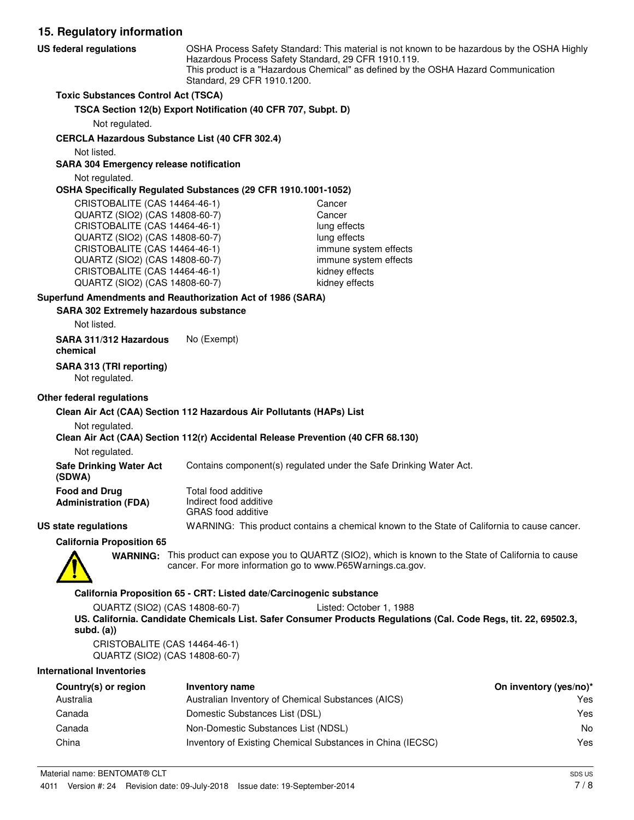**15. Regulatory information** OSHA Process Safety Standard: This material is not known to be hazardous by the OSHA Highly Hazardous Process Safety Standard, 29 CFR 1910.119. This product is a "Hazardous Chemical" as defined by the OSHA Hazard Communication Standard, 29 CFR 1910.1200. **US federal regulations Toxic Substances Control Act (TSCA) TSCA Section 12(b) Export Notification (40 CFR 707, Subpt. D)** Not regulated. **CERCLA Hazardous Substance List (40 CFR 302.4)** Not listed. **SARA 304 Emergency release notification** Not regulated. **OSHA Specifically Regulated Substances (29 CFR 1910.1001-1052)** CRISTOBALITE (CAS 14464-46-1) Cancer QUARTZ (SIO2) (CAS 14808-60-7) Cancer CRISTOBALITE (CAS 14464-46-1) lung effects QUARTZ (SIO2) (CAS 14808-60-7) lung effects CRISTOBALITE (CAS 14464-46-1) immune system effects QUARTZ (SIO2) (CAS 14808-60-7) immune system effects CRISTOBALITE (CAS 14464-46-1) kidney effects QUARTZ (SIO2) (CAS 14808-60-7) kidney effects **SARA 302 Extremely hazardous substance Superfund Amendments and Reauthorization Act of 1986 (SARA)** Not listed. **SARA 311/312 Hazardous** No (Exempt) **chemical**

**SARA 313 (TRI reporting)**

Not regulated.

#### **Other federal regulations**

#### **Clean Air Act (CAA) Section 112 Hazardous Air Pollutants (HAPs) List**

Not regulated.

#### **Clean Air Act (CAA) Section 112(r) Accidental Release Prevention (40 CFR 68.130)**

Not regulated.

**Safe Drinking Water Act** Contains component(s) regulated under the Safe Drinking Water Act.

| <b>Food and Drug</b> | Total food additive       |  |
|----------------------|---------------------------|--|
| Administration (FDA) | Indirect food additive    |  |
|                      | <b>GRAS</b> food additive |  |

**US state regulations** WARNING: This product contains a chemical known to the State of California to cause cancer.

**California Proposition 65**



**(SDWA)**

WARNING: This product can expose you to QUARTZ (SIO2), which is known to the State of California to cause cancer. For more information go to www.P65Warnings.ca.gov.

#### **California Proposition 65 - CRT: Listed date/Carcinogenic substance**

QUARTZ (SIO2) (CAS 14808-60-7) Listed: October 1, 1988 **US. California. Candidate Chemicals List. Safer Consumer Products Regulations (Cal. Code Regs, tit. 22, 69502.3, subd. (a))**

CRISTOBALITE (CAS 14464-46-1) QUARTZ (SIO2) (CAS 14808-60-7)

#### **International Inventories**

| Country(s) or region | Inventory name                                             | On inventory (yes/no)* |
|----------------------|------------------------------------------------------------|------------------------|
| Australia            | Australian Inventory of Chemical Substances (AICS)         | Yes                    |
| Canada               | Domestic Substances List (DSL)                             | Yes                    |
| Canada               | Non-Domestic Substances List (NDSL)                        | No                     |
| China                | Inventory of Existing Chemical Substances in China (IECSC) | Yes                    |